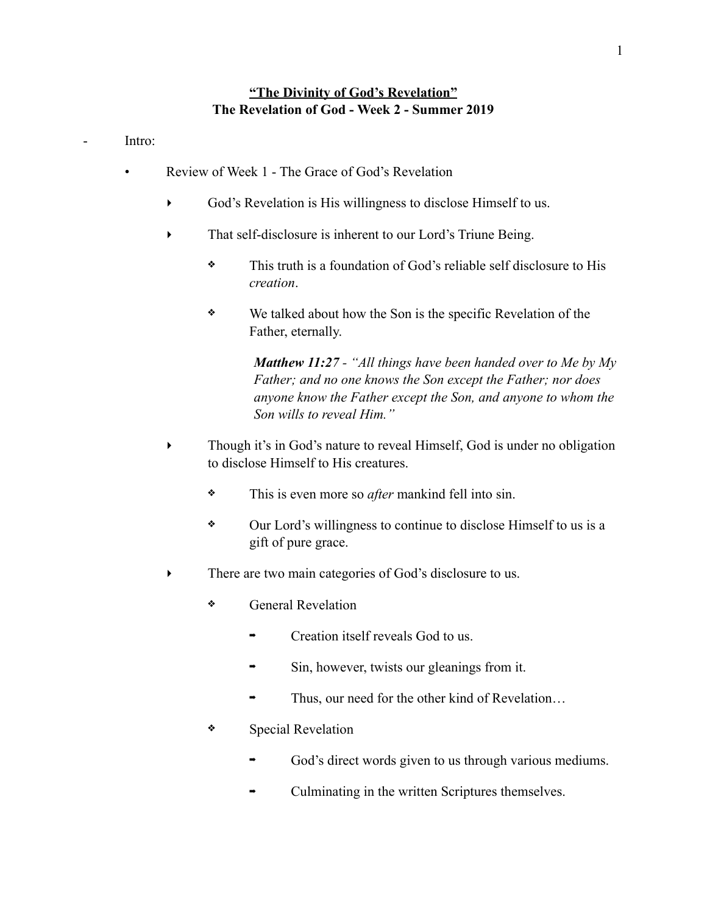## **"The Divinity of God's Revelation" The Revelation of God - Week 2 - Summer 2019**

Intro:

- Review of Week 1 The Grace of God's Revelation
	- ‣ God's Revelation is His willingness to disclose Himself to us.
	- That self-disclosure is inherent to our Lord's Triune Being.
		- ❖ This truth is a foundation of God's reliable self disclosure to His *creation*.
		- ❖ We talked about how the Son is the specific Revelation of the Father, eternally.

*Matthew 11:27 - "All things have been handed over to Me by My Father; and no one knows the Son except the Father; nor does anyone know the Father except the Son, and anyone to whom the Son wills to reveal Him."*

- ‣ Though it's in God's nature to reveal Himself, God is under no obligation to disclose Himself to His creatures.
	- ❖ This is even more so *after* mankind fell into sin.
	- ❖ Our Lord's willingness to continue to disclose Himself to us is a gift of pure grace.
- There are two main categories of God's disclosure to us.
	- ❖ General Revelation
		- ➡ Creation itself reveals God to us.
		- Sin, however, twists our gleanings from it.
		- Thus, our need for the other kind of Revelation...
	- ❖ Special Revelation
		- God's direct words given to us through various mediums.
		- ➡ Culminating in the written Scriptures themselves.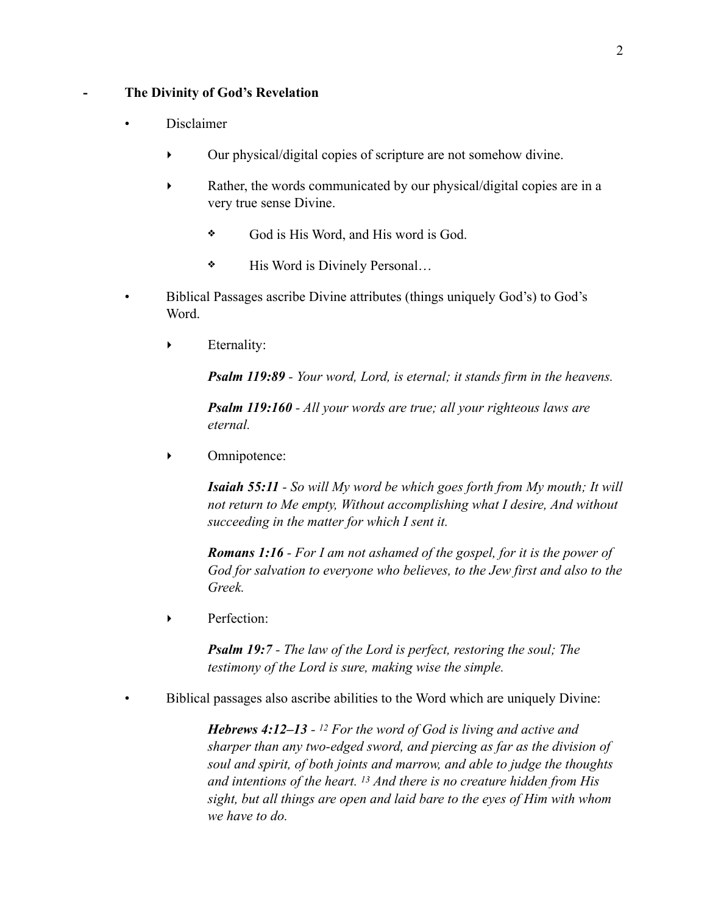## **- The Divinity of God's Revelation**

- Disclaimer
	- ‣ Our physical/digital copies of scripture are not somehow divine.
	- ‣ Rather, the words communicated by our physical/digital copies are in a very true sense Divine.
		- ❖ God is His Word, and His word is God.
		- ❖ His Word is Divinely Personal…
- Biblical Passages ascribe Divine attributes (things uniquely God's) to God's Word.
	- ‣ Eternality:

*Psalm 119:89 - Your word, Lord, is eternal; it stands firm in the heavens.*

*Psalm 119:160 - All your words are true; all your righteous laws are eternal.*

‣ Omnipotence:

*Isaiah 55:11 - So will My word be which goes forth from My mouth; It will not return to Me empty, Without accomplishing what I desire, And without succeeding in the matter for which I sent it.*

*Romans 1:16 - For I am not ashamed of the gospel, for it is the power of God for salvation to everyone who believes, to the Jew first and also to the Greek.*

‣ Perfection:

*Psalm 19:7 - The law of the Lord is perfect, restoring the soul; The testimony of the Lord is sure, making wise the simple.*

• Biblical passages also ascribe abilities to the Word which are uniquely Divine:

*Hebrews 4:12–13 - 12 For the word of God is living and active and sharper than any two-edged sword, and piercing as far as the division of soul and spirit, of both joints and marrow, and able to judge the thoughts and intentions of the heart. 13 And there is no creature hidden from His sight, but all things are open and laid bare to the eyes of Him with whom we have to do.*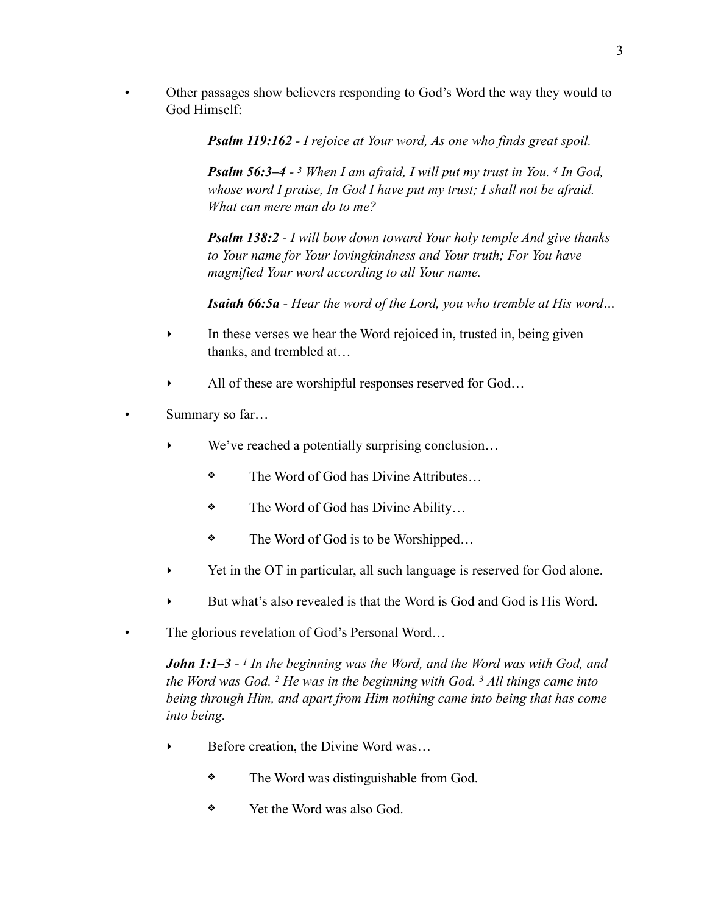• Other passages show believers responding to God's Word the way they would to God Himself:

*Psalm 119:162 - I rejoice at Your word, As one who finds great spoil.* 

*Psalm 56:3–4 - 3 When I am afraid, I will put my trust in You. 4 In God, whose word I praise, In God I have put my trust; I shall not be afraid. What can mere man do to me?* 

*Psalm 138:2 - I will bow down toward Your holy temple And give thanks to Your name for Your lovingkindness and Your truth; For You have magnified Your word according to all Your name.* 

*Isaiah 66:5a - Hear the word of the Lord, you who tremble at His word…* 

- In these verses we hear the Word rejoiced in, trusted in, being given thanks, and trembled at…
- All of these are worshipful responses reserved for God...
- Summary so far...
	- We've reached a potentially surprising conclusion...
		- ❖ The Word of God has Divine Attributes…
		- ❖ The Word of God has Divine Ability…
		- ❖ The Word of God is to be Worshipped…
	- ‣ Yet in the OT in particular, all such language is reserved for God alone.
	- But what's also revealed is that the Word is God and God is His Word.
- The glorious revelation of God's Personal Word...

*John 1:1–3 - 1 In the beginning was the Word, and the Word was with God, and the Word was God. 2 He was in the beginning with God. 3 All things came into being through Him, and apart from Him nothing came into being that has come into being.*

- ▶ Before creation, the Divine Word was...
	- ❖ The Word was distinguishable from God.
	- ❖ Yet the Word was also God.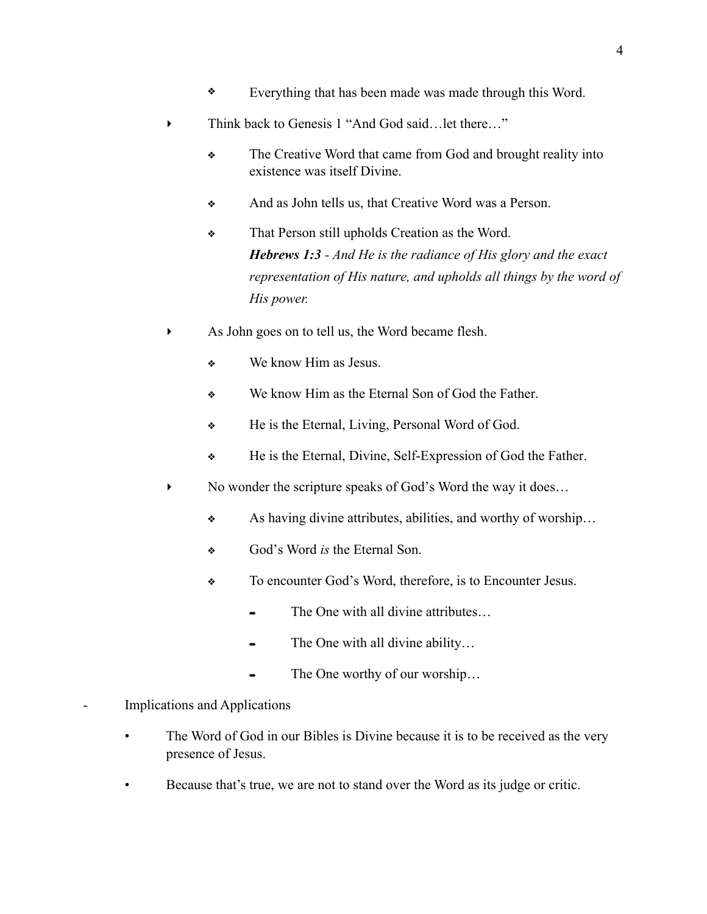- ❖ Everything that has been made was made through this Word.
- Think back to Genesis 1 "And God said...let there..."
	- ❖ The Creative Word that came from God and brought reality into existence was itself Divine.
	- ❖ And as John tells us, that Creative Word was a Person.
	- ❖ That Person still upholds Creation as the Word. *Hebrews 1:3 - And He is the radiance of His glory and the exact representation of His nature, and upholds all things by the word of His power.*
- ‣ As John goes on to tell us, the Word became flesh.
	- ❖ We know Him as Jesus.
	- ❖ We know Him as the Eternal Son of God the Father.
	- ❖ He is the Eternal, Living, Personal Word of God.
	- ❖ He is the Eternal, Divine, Self-Expression of God the Father.
- No wonder the scripture speaks of God's Word the way it does...
	- ❖ As having divine attributes, abilities, and worthy of worship…
	- ❖ God's Word *is* the Eternal Son.
	- ❖ To encounter God's Word, therefore, is to Encounter Jesus.
		- The One with all divine attributes...
		- The One with all divine ability...
		- The One worthy of our worship...
- Implications and Applications
	- The Word of God in our Bibles is Divine because it is to be received as the very presence of Jesus.
	- Because that's true, we are not to stand over the Word as its judge or critic.